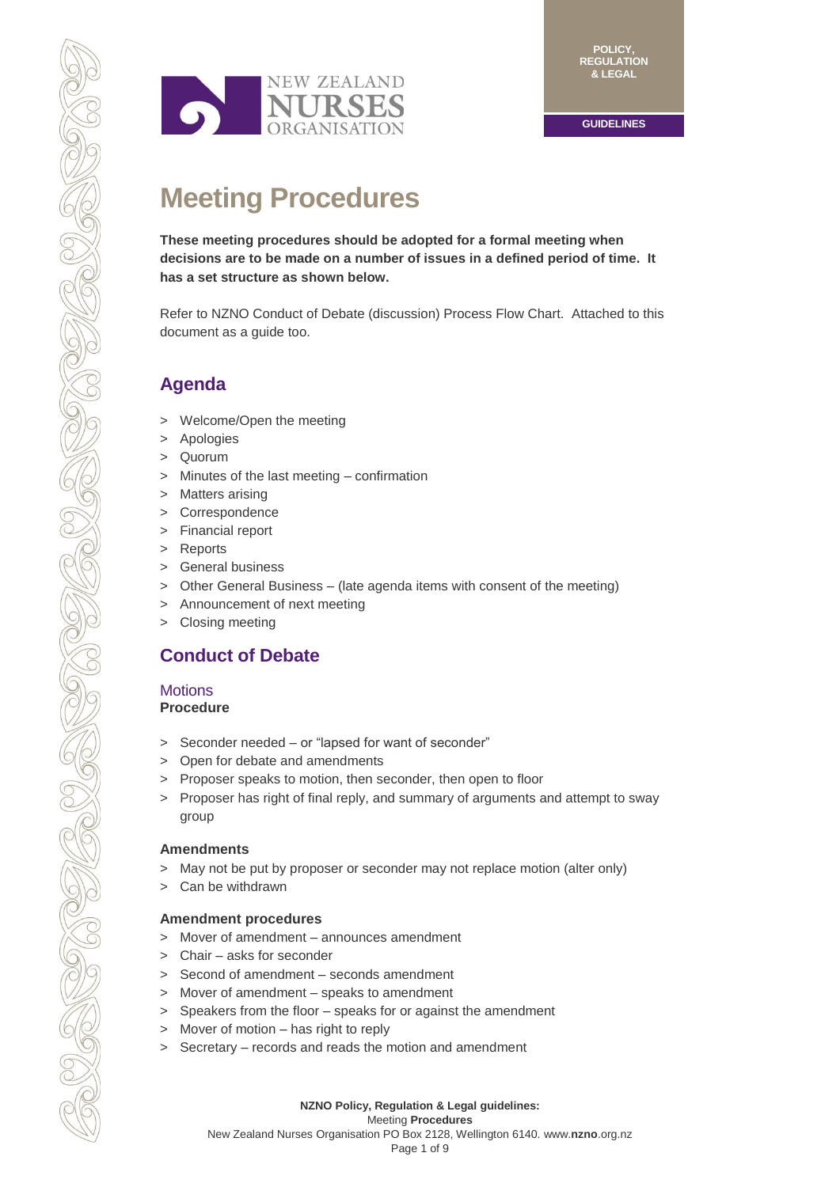

# **Meeting Procedures**

**These meeting procedures should be adopted for a formal meeting when decisions are to be made on a number of issues in a defined period of time. It has a set structure as shown below.** 

Refer to NZNO Conduct of Debate (discussion) Process Flow Chart. Attached to this document as a guide too.

# **Agenda**

- > Welcome/Open the meeting
- > Apologies
- > Quorum
- > Minutes of the last meeting confirmation
- > Matters arising
- > Correspondence
- > Financial report
- > Reports
- > General business
- > Other General Business (late agenda items with consent of the meeting)
- > Announcement of next meeting
- > Closing meeting

# **Conduct of Debate**

### **Motions Procedure**

- > Seconder needed or "lapsed for want of seconder"
- > Open for debate and amendments
- > Proposer speaks to motion, then seconder, then open to floor
- > Proposer has right of final reply, and summary of arguments and attempt to sway group

# **Amendments**

- > May not be put by proposer or seconder may not replace motion (alter only)
- > Can be withdrawn

# **Amendment procedures**

- > Mover of amendment announces amendment
- > Chair asks for seconder
- > Second of amendment seconds amendment
- > Mover of amendment speaks to amendment
- > Speakers from the floor speaks for or against the amendment
- > Mover of motion has right to reply
- > Secretary records and reads the motion and amendment

**NZNO Policy, Regulation & Legal guidelines:** Meeting **Procedures**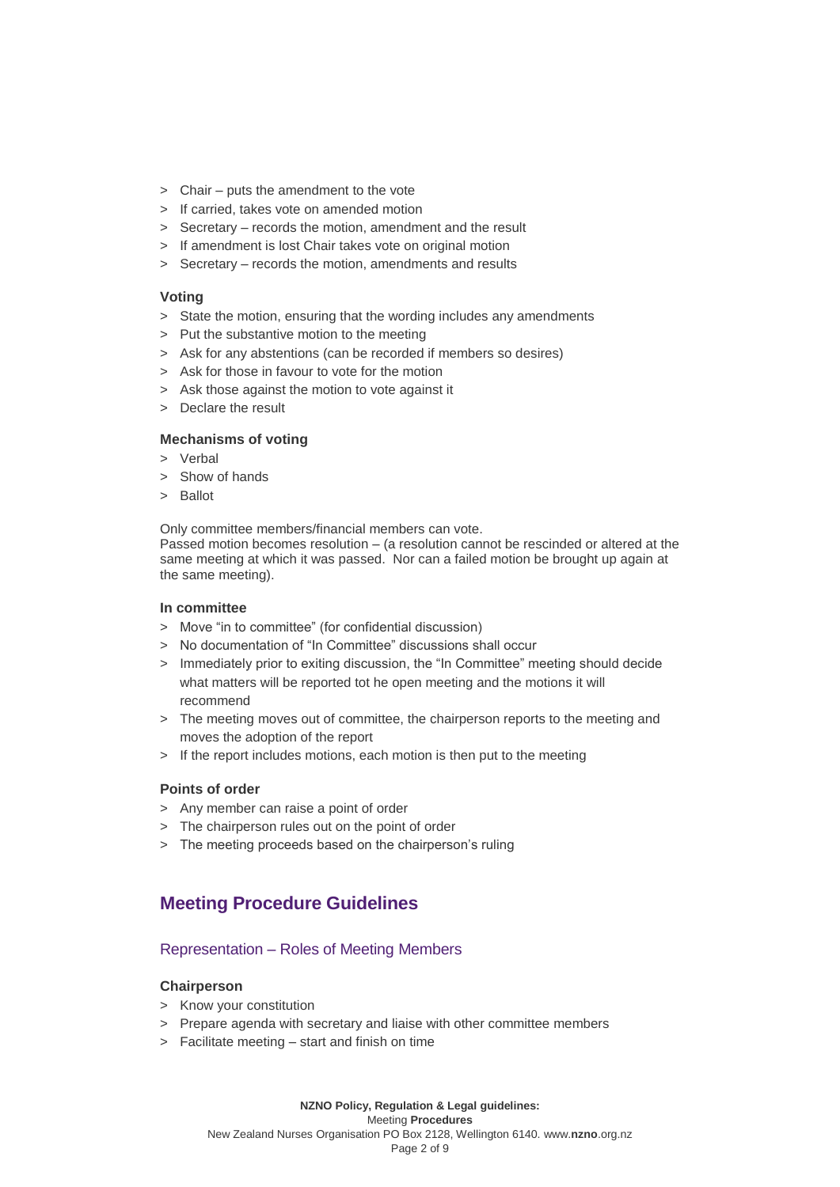- > Chair puts the amendment to the vote
- > If carried, takes vote on amended motion
- > Secretary records the motion, amendment and the result
- > If amendment is lost Chair takes vote on original motion
- > Secretary records the motion, amendments and results

#### **Voting**

- > State the motion, ensuring that the wording includes any amendments
- > Put the substantive motion to the meeting
- > Ask for any abstentions (can be recorded if members so desires)
- > Ask for those in favour to vote for the motion
- > Ask those against the motion to vote against it
- > Declare the result

### **Mechanisms of voting**

- > Verbal
- > Show of hands
- > Ballot

Only committee members/financial members can vote.

Passed motion becomes resolution – (a resolution cannot be rescinded or altered at the same meeting at which it was passed. Nor can a failed motion be brought up again at the same meeting).

### **In committee**

- > Move "in to committee" (for confidential discussion)
- > No documentation of "In Committee" discussions shall occur
- > Immediately prior to exiting discussion, the "In Committee" meeting should decide what matters will be reported tot he open meeting and the motions it will recommend
- > The meeting moves out of committee, the chairperson reports to the meeting and moves the adoption of the report
- > If the report includes motions, each motion is then put to the meeting

### **Points of order**

- > Any member can raise a point of order
- > The chairperson rules out on the point of order
- > The meeting proceeds based on the chairperson's ruling

# **Meeting Procedure Guidelines**

# Representation – Roles of Meeting Members

### **Chairperson**

- > Know your constitution
- > Prepare agenda with secretary and liaise with other committee members
- > Facilitate meeting start and finish on time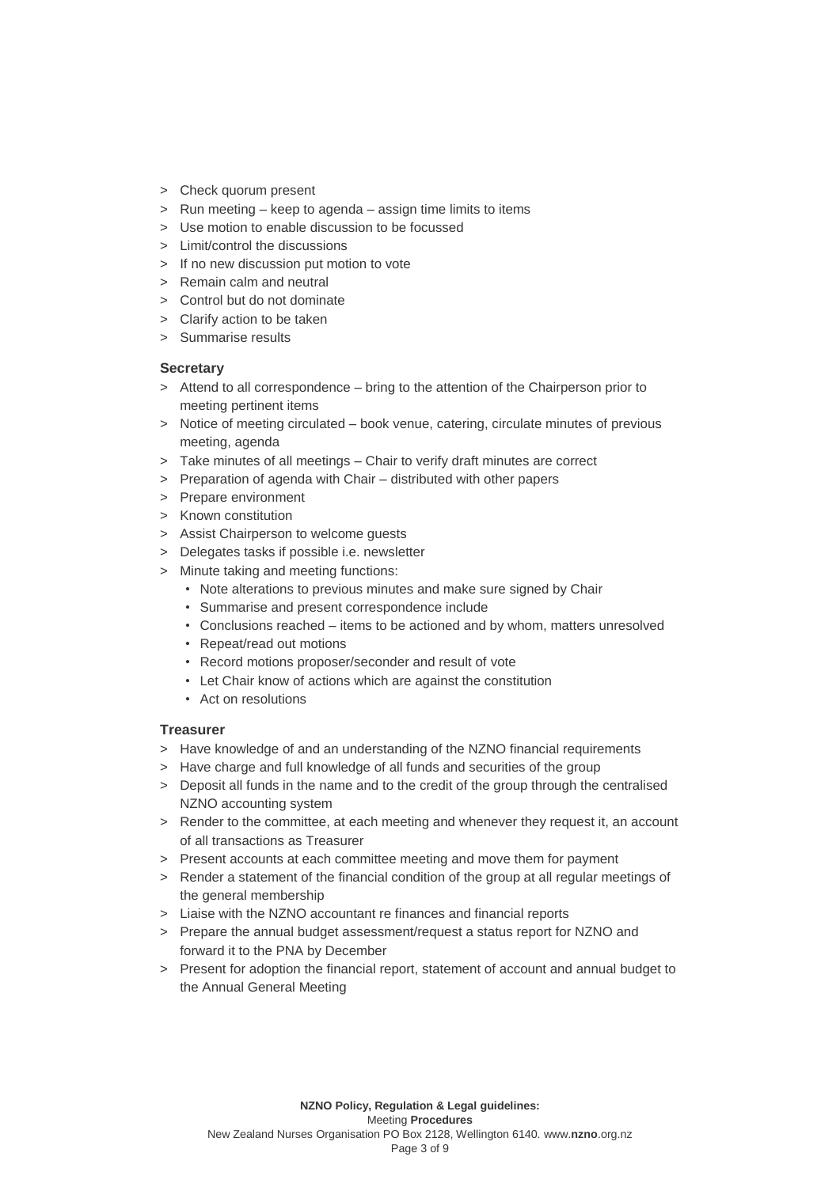- > Check quorum present
- > Run meeting keep to agenda assign time limits to items
- > Use motion to enable discussion to be focussed
- > Limit/control the discussions
- > If no new discussion put motion to vote
- > Remain calm and neutral
- > Control but do not dominate
- > Clarify action to be taken
- > Summarise results

## **Secretary**

- > Attend to all correspondence bring to the attention of the Chairperson prior to meeting pertinent items
- > Notice of meeting circulated book venue, catering, circulate minutes of previous meeting, agenda
- > Take minutes of all meetings Chair to verify draft minutes are correct
- > Preparation of agenda with Chair distributed with other papers
- > Prepare environment
- > Known constitution
- > Assist Chairperson to welcome guests
- > Delegates tasks if possible i.e. newsletter
- > Minute taking and meeting functions:
	- Note alterations to previous minutes and make sure signed by Chair
	- Summarise and present correspondence include
	- Conclusions reached items to be actioned and by whom, matters unresolved
	- Repeat/read out motions
	- Record motions proposer/seconder and result of vote
	- Let Chair know of actions which are against the constitution
	- Act on resolutions

### **Treasurer**

- > Have knowledge of and an understanding of the NZNO financial requirements
- > Have charge and full knowledge of all funds and securities of the group
- > Deposit all funds in the name and to the credit of the group through the centralised NZNO accounting system
- > Render to the committee, at each meeting and whenever they request it, an account of all transactions as Treasurer
- > Present accounts at each committee meeting and move them for payment
- > Render a statement of the financial condition of the group at all regular meetings of the general membership
- > Liaise with the NZNO accountant re finances and financial reports
- > Prepare the annual budget assessment/request a status report for NZNO and forward it to the PNA by December
- > Present for adoption the financial report, statement of account and annual budget to the Annual General Meeting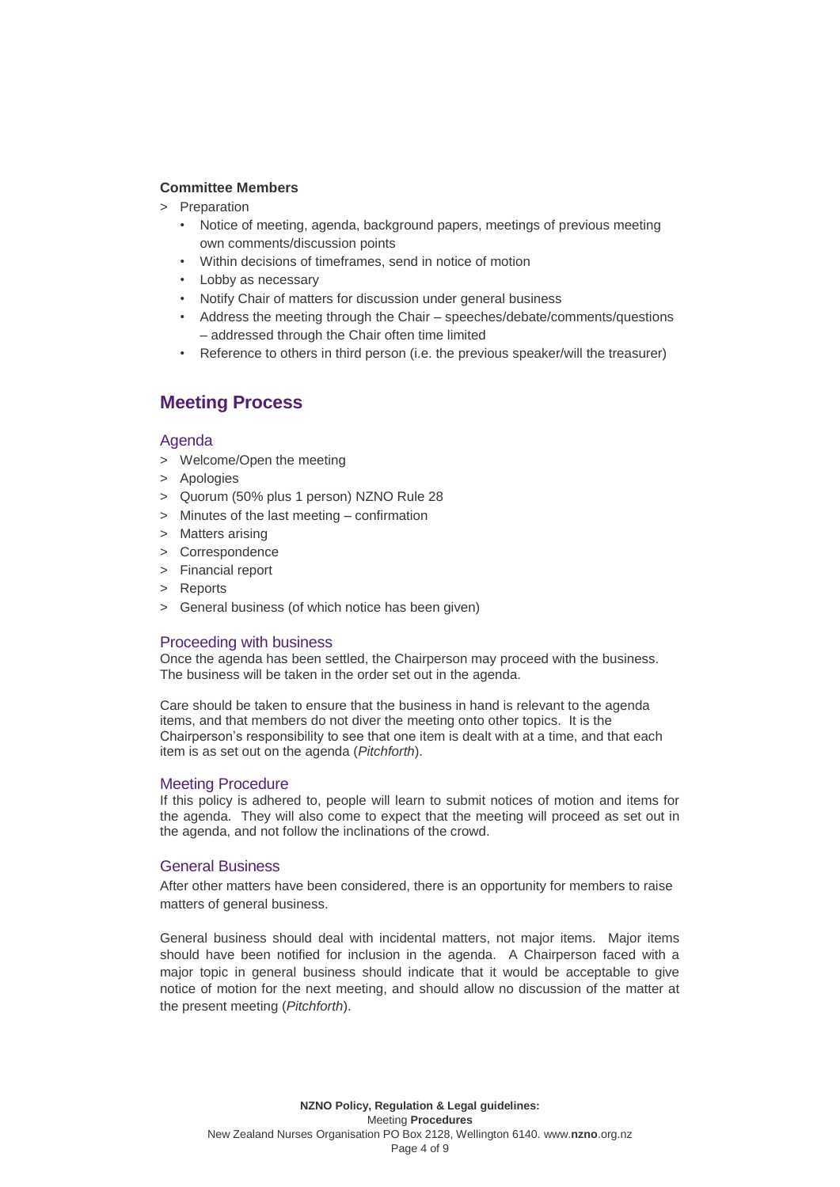### **Committee Members**

- > Preparation
	- Notice of meeting, agenda, background papers, meetings of previous meeting own comments/discussion points
	- Within decisions of timeframes, send in notice of motion
	- Lobby as necessary
	- Notify Chair of matters for discussion under general business
	- Address the meeting through the Chair speeches/debate/comments/questions – addressed through the Chair often time limited
	- Reference to others in third person (i.e. the previous speaker/will the treasurer)

# **Meeting Process**

## Agenda

- > Welcome/Open the meeting
- > Apologies
- > Quorum (50% plus 1 person) NZNO Rule 28
- > Minutes of the last meeting confirmation
- > Matters arising
- > Correspondence
- > Financial report
- > Reports
- > General business (of which notice has been given)

### Proceeding with business

Once the agenda has been settled, the Chairperson may proceed with the business. The business will be taken in the order set out in the agenda.

Care should be taken to ensure that the business in hand is relevant to the agenda items, and that members do not diver the meeting onto other topics. It is the Chairperson's responsibility to see that one item is dealt with at a time, and that each item is as set out on the agenda (*Pitchforth*).

# Meeting Procedure

If this policy is adhered to, people will learn to submit notices of motion and items for the agenda. They will also come to expect that the meeting will proceed as set out in the agenda, and not follow the inclinations of the crowd.

# General Business

After other matters have been considered, there is an opportunity for members to raise matters of general business.

General business should deal with incidental matters, not major items. Major items should have been notified for inclusion in the agenda. A Chairperson faced with a major topic in general business should indicate that it would be acceptable to give notice of motion for the next meeting, and should allow no discussion of the matter at the present meeting (*Pitchforth*).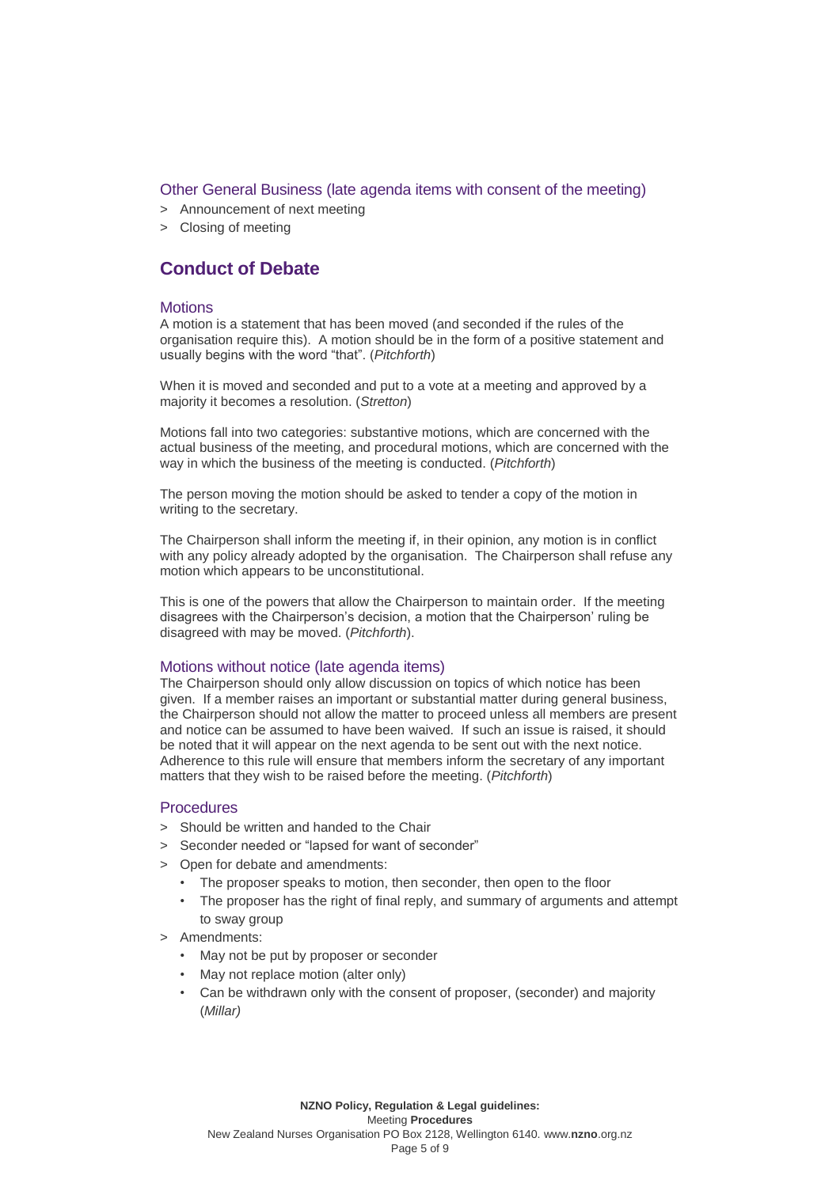# Other General Business (late agenda items with consent of the meeting)

- > Announcement of next meeting
- > Closing of meeting

# **Conduct of Debate**

#### **Motions**

A motion is a statement that has been moved (and seconded if the rules of the organisation require this). A motion should be in the form of a positive statement and usually begins with the word "that". (*Pitchforth*)

When it is moved and seconded and put to a vote at a meeting and approved by a majority it becomes a resolution. (*Stretton*)

Motions fall into two categories: substantive motions, which are concerned with the actual business of the meeting, and procedural motions, which are concerned with the way in which the business of the meeting is conducted. (*Pitchforth*)

The person moving the motion should be asked to tender a copy of the motion in writing to the secretary.

The Chairperson shall inform the meeting if, in their opinion, any motion is in conflict with any policy already adopted by the organisation. The Chairperson shall refuse any motion which appears to be unconstitutional.

This is one of the powers that allow the Chairperson to maintain order. If the meeting disagrees with the Chairperson's decision, a motion that the Chairperson' ruling be disagreed with may be moved. (*Pitchforth*).

### Motions without notice (late agenda items)

The Chairperson should only allow discussion on topics of which notice has been given. If a member raises an important or substantial matter during general business, the Chairperson should not allow the matter to proceed unless all members are present and notice can be assumed to have been waived. If such an issue is raised, it should be noted that it will appear on the next agenda to be sent out with the next notice. Adherence to this rule will ensure that members inform the secretary of any important matters that they wish to be raised before the meeting. (*Pitchforth*)

# **Procedures**

- > Should be written and handed to the Chair
- > Seconder needed or "lapsed for want of seconder"
- > Open for debate and amendments:
	- The proposer speaks to motion, then seconder, then open to the floor
	- The proposer has the right of final reply, and summary of arguments and attempt to sway group
- > Amendments:
	- May not be put by proposer or seconder
	- May not replace motion (alter only)
	- Can be withdrawn only with the consent of proposer, (seconder) and majority (*Millar)*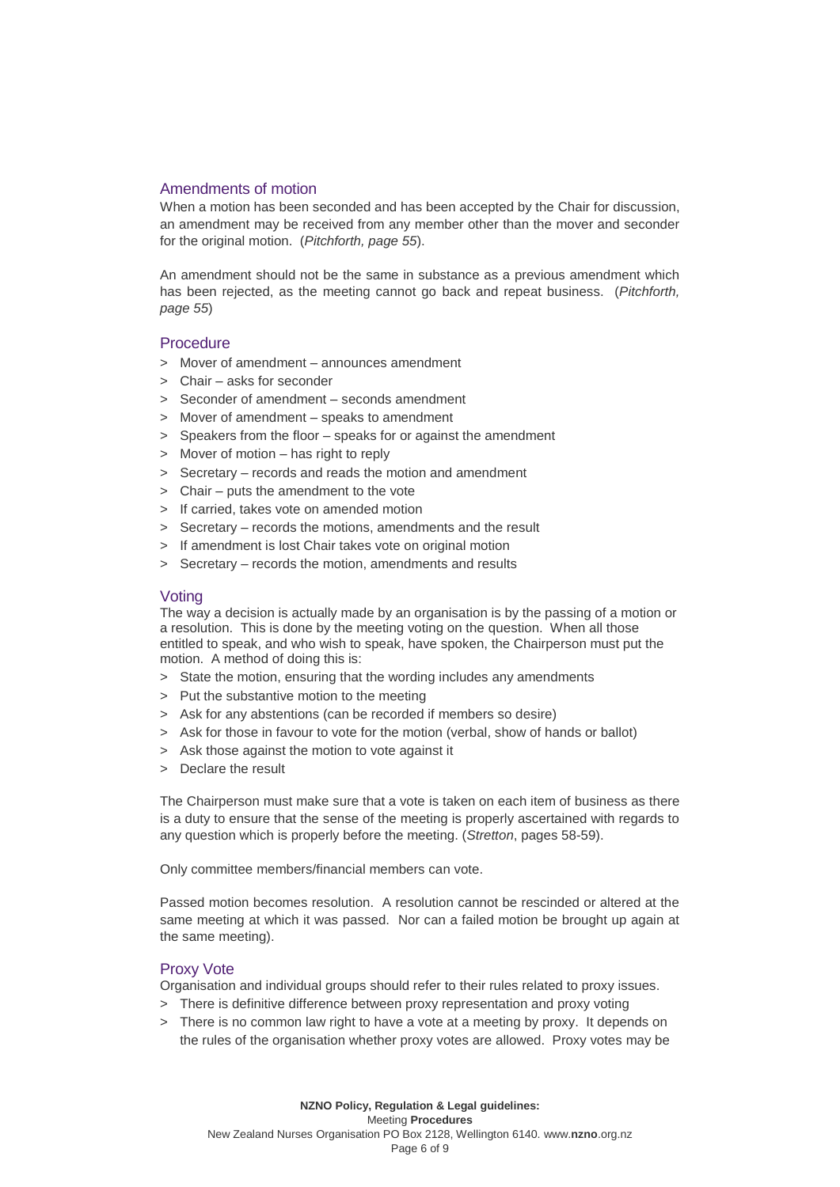# Amendments of motion

When a motion has been seconded and has been accepted by the Chair for discussion, an amendment may be received from any member other than the mover and seconder for the original motion. (*Pitchforth, page 55*).

An amendment should not be the same in substance as a previous amendment which has been rejected, as the meeting cannot go back and repeat business. (*Pitchforth, page 55*)

### **Procedure**

- > Mover of amendment announces amendment
- > Chair asks for seconder
- > Seconder of amendment seconds amendment
- > Mover of amendment speaks to amendment
- > Speakers from the floor speaks for or against the amendment
- > Mover of motion has right to reply
- > Secretary records and reads the motion and amendment
- > Chair puts the amendment to the vote
- > If carried, takes vote on amended motion
- > Secretary records the motions, amendments and the result
- > If amendment is lost Chair takes vote on original motion
- > Secretary records the motion, amendments and results

### **Voting**

The way a decision is actually made by an organisation is by the passing of a motion or a resolution. This is done by the meeting voting on the question. When all those entitled to speak, and who wish to speak, have spoken, the Chairperson must put the motion. A method of doing this is:

- > State the motion, ensuring that the wording includes any amendments
- > Put the substantive motion to the meeting
- > Ask for any abstentions (can be recorded if members so desire)
- > Ask for those in favour to vote for the motion (verbal, show of hands or ballot)
- > Ask those against the motion to vote against it
- > Declare the result

The Chairperson must make sure that a vote is taken on each item of business as there is a duty to ensure that the sense of the meeting is properly ascertained with regards to any question which is properly before the meeting. (*Stretton*, pages 58-59).

Only committee members/financial members can vote.

Passed motion becomes resolution. A resolution cannot be rescinded or altered at the same meeting at which it was passed. Nor can a failed motion be brought up again at the same meeting).

# Proxy Vote

Organisation and individual groups should refer to their rules related to proxy issues.

- > There is definitive difference between proxy representation and proxy voting
- > There is no common law right to have a vote at a meeting by proxy. It depends on the rules of the organisation whether proxy votes are allowed. Proxy votes may be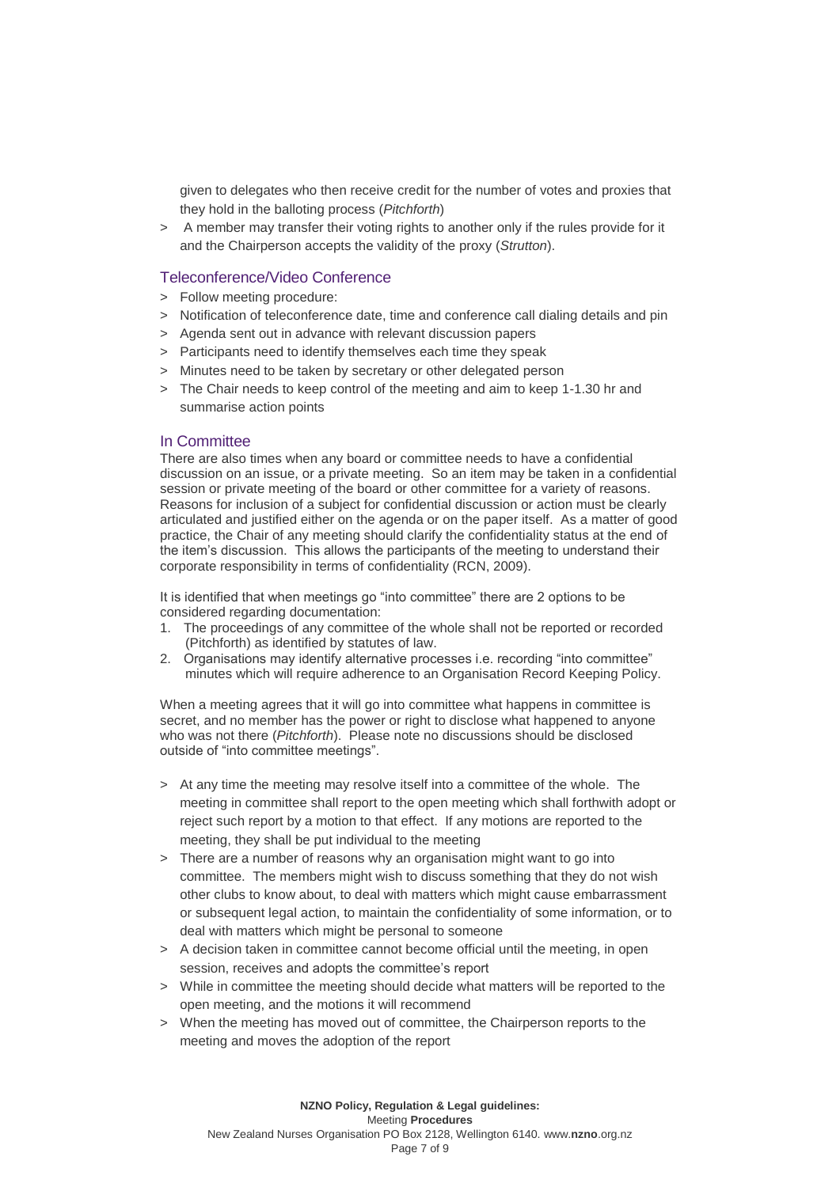given to delegates who then receive credit for the number of votes and proxies that they hold in the balloting process (*Pitchforth*)

> A member may transfer their voting rights to another only if the rules provide for it and the Chairperson accepts the validity of the proxy (*Strutton*).

#### Teleconference/Video Conference

- > Follow meeting procedure:
- > Notification of teleconference date, time and conference call dialing details and pin
- > Agenda sent out in advance with relevant discussion papers
- > Participants need to identify themselves each time they speak
- > Minutes need to be taken by secretary or other delegated person
- > The Chair needs to keep control of the meeting and aim to keep 1-1.30 hr and summarise action points

#### In Committee

There are also times when any board or committee needs to have a confidential discussion on an issue, or a private meeting. So an item may be taken in a confidential session or private meeting of the board or other committee for a variety of reasons. Reasons for inclusion of a subject for confidential discussion or action must be clearly articulated and justified either on the agenda or on the paper itself. As a matter of good practice, the Chair of any meeting should clarify the confidentiality status at the end of the item's discussion. This allows the participants of the meeting to understand their corporate responsibility in terms of confidentiality (RCN, 2009).

It is identified that when meetings go "into committee" there are 2 options to be considered regarding documentation:

- 1. The proceedings of any committee of the whole shall not be reported or recorded (Pitchforth) as identified by statutes of law.
- 2. Organisations may identify alternative processes i.e. recording "into committee" minutes which will require adherence to an Organisation Record Keeping Policy.

When a meeting agrees that it will go into committee what happens in committee is secret, and no member has the power or right to disclose what happened to anyone who was not there (*Pitchforth*). Please note no discussions should be disclosed outside of "into committee meetings".

- > At any time the meeting may resolve itself into a committee of the whole. The meeting in committee shall report to the open meeting which shall forthwith adopt or reject such report by a motion to that effect. If any motions are reported to the meeting, they shall be put individual to the meeting
- > There are a number of reasons why an organisation might want to go into committee. The members might wish to discuss something that they do not wish other clubs to know about, to deal with matters which might cause embarrassment or subsequent legal action, to maintain the confidentiality of some information, or to deal with matters which might be personal to someone
- > A decision taken in committee cannot become official until the meeting, in open session, receives and adopts the committee's report
- > While in committee the meeting should decide what matters will be reported to the open meeting, and the motions it will recommend
- > When the meeting has moved out of committee, the Chairperson reports to the meeting and moves the adoption of the report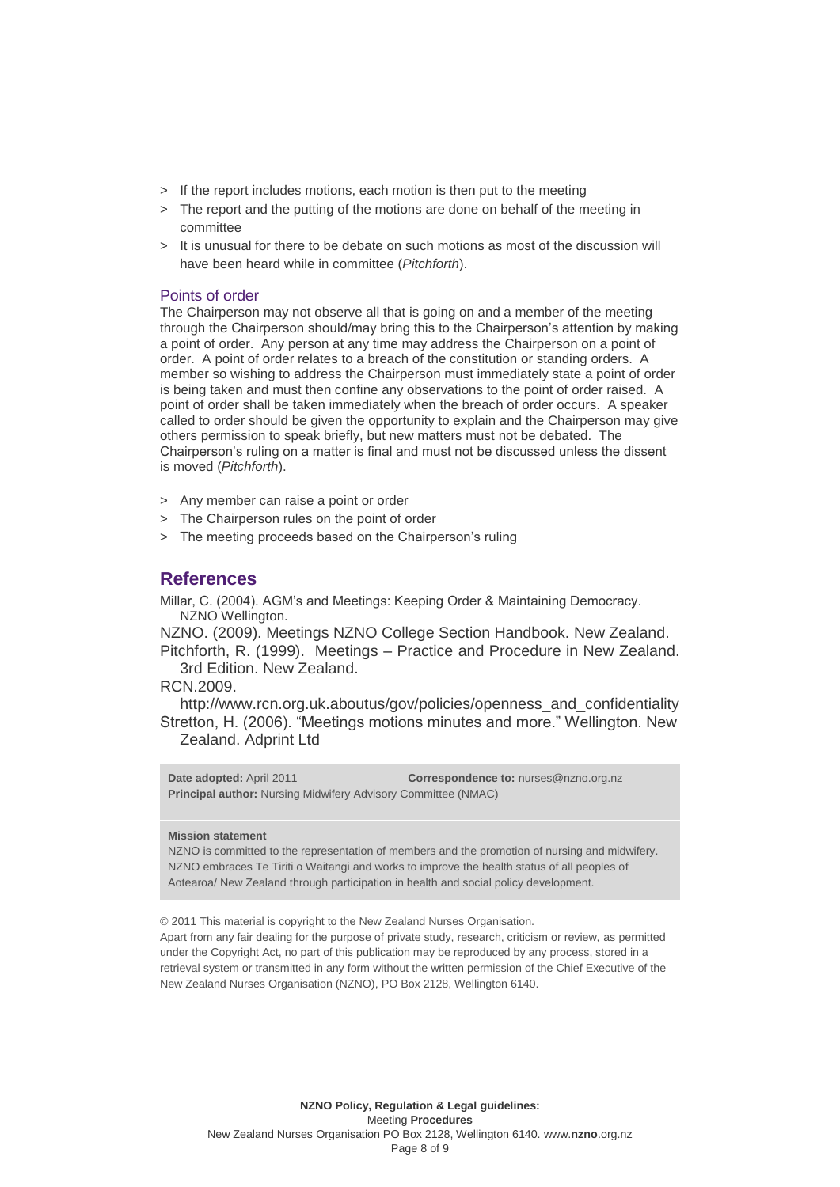- > If the report includes motions, each motion is then put to the meeting
- > The report and the putting of the motions are done on behalf of the meeting in committee
- > It is unusual for there to be debate on such motions as most of the discussion will have been heard while in committee (*Pitchforth*).

### Points of order

The Chairperson may not observe all that is going on and a member of the meeting through the Chairperson should/may bring this to the Chairperson's attention by making a point of order. Any person at any time may address the Chairperson on a point of order. A point of order relates to a breach of the constitution or standing orders. A member so wishing to address the Chairperson must immediately state a point of order is being taken and must then confine any observations to the point of order raised. A point of order shall be taken immediately when the breach of order occurs. A speaker called to order should be given the opportunity to explain and the Chairperson may give others permission to speak briefly, but new matters must not be debated. The Chairperson's ruling on a matter is final and must not be discussed unless the dissent is moved (*Pitchforth*).

- > Any member can raise a point or order
- > The Chairperson rules on the point of order
- > The meeting proceeds based on the Chairperson's ruling

# **References**

Millar, C. (2004). AGM's and Meetings: Keeping Order & Maintaining Democracy. NZNO Wellington.

NZNO. (2009). Meetings NZNO College Section Handbook. New Zealand. Pitchforth, R. (1999). Meetings – Practice and Procedure in New Zealand. 3rd Edition. New Zealand.

RCN.2009.

[http://www.rcn.org.uk.aboutus/gov/policies/openness\\_and\\_confidentiality](http://www.rcn.org.uk.aboutus/gov/policies/openness_and_confidentiality) Stretton, H. (2006). "Meetings motions minutes and more." Wellington. New Zealand. Adprint Ltd

**Date adopted:** April 2011 **Correspondence to:** nurses@nzno.org.nz **Principal author:** Nursing Midwifery Advisory Committee (NMAC)

#### **Mission statement**

NZNO is committed to the representation of members and the promotion of nursing and midwifery. NZNO embraces Te Tiriti o Waitangi and works to improve the health status of all peoples of Aotearoa/ New Zealand through participation in health and social policy development.

© 2011 This material is copyright to the New Zealand Nurses Organisation.

Apart from any fair dealing for the purpose of private study, research, criticism or review, as permitted under the Copyright Act, no part of this publication may be reproduced by any process, stored in a retrieval system or transmitted in any form without the written permission of the Chief Executive of the New Zealand Nurses Organisation (NZNO), PO Box 2128, Wellington 6140.